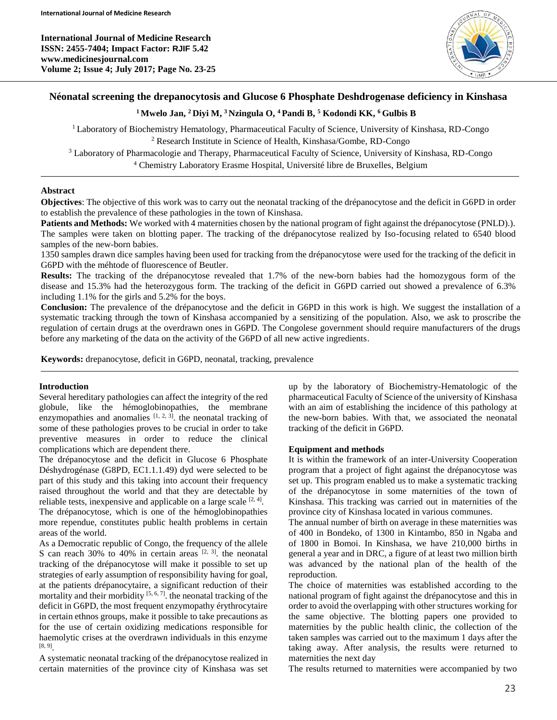**International Journal of Medicine Research ISSN: 2455-7404; Impact Factor: RJIF 5.42 www.medicinesjournal.com Volume 2; Issue 4; July 2017; Page No. 23-25**



## **Néonatal screening the drepanocytosis and Glucose 6 Phosphate Deshdrogenase deficiency in Kinshasa**

## **<sup>1</sup>Mwelo Jan, <sup>2</sup>Diyi M, <sup>3</sup>Nzingula O, <sup>4</sup>Pandi B, <sup>5</sup> Kodondi KK, <sup>6</sup>Gulbis B**

<sup>1</sup>Laboratory of Biochemistry Hematology, Pharmaceutical Faculty of Science, University of Kinshasa, RD-Congo <sup>2</sup> Research Institute in Science of Health, Kinshasa/Gombe, RD-Congo

<sup>3</sup> Laboratory of Pharmacologie and Therapy, Pharmaceutical Faculty of Science, University of Kinshasa, RD-Congo <sup>4</sup> Chemistry Laboratory Erasme Hospital, Université libre de Bruxelles, Belgium

### **Abstract**

**Objectives**: The objective of this work was to carry out the neonatal tracking of the drépanocytose and the deficit in G6PD in order to establish the prevalence of these pathologies in the town of Kinshasa.

**Patients and Methods:** We worked with 4 maternities chosen by the national program of fight against the drépanocytose (PNLD).). The samples were taken on blotting paper. The tracking of the drépanocytose realized by Iso-focusing related to 6540 blood samples of the new-born babies.

1350 samples drawn dice samples having been used for tracking from the drépanocytose were used for the tracking of the deficit in G6PD with the méhtode of fluorescence of Beutler.

**Results:** The tracking of the drépanocytose revealed that 1.7% of the new-born babies had the homozygous form of the disease and 15.3% had the heterozygous form. The tracking of the deficit in G6PD carried out showed a prevalence of 6.3% including 1.1% for the girls and 5.2% for the boys.

**Conclusion:** The prevalence of the drépanocytose and the deficit in G6PD in this work is high. We suggest the installation of a systematic tracking through the town of Kinshasa accompanied by a sensitizing of the population. Also, we ask to proscribe the regulation of certain drugs at the overdrawn ones in G6PD. The Congolese government should require manufacturers of the drugs before any marketing of the data on the activity of the G6PD of all new active ingredients.

**Keywords:** drepanocytose, deficit in G6PD, neonatal, tracking, prevalence

## **Introduction**

Several hereditary pathologies can affect the integrity of the red globule, like the hémoglobinopathies, the membrane enzymopathies and anomalies  $[1, 2, 3]$ , the neonatal tracking of some of these pathologies proves to be crucial in order to take preventive measures in order to reduce the clinical complications which are dependent there.

The drépanocytose and the deficit in Glucose 6 Phosphate Déshydrogénase (G8PD, EC1.1.1.49) dyd were selected to be part of this study and this taking into account their frequency raised throughout the world and that they are detectable by reliable tests, inexpensive and applicable on a large scale  $[2, 4]$ . The drépanocytose, which is one of the hémoglobinopathies more rependue, constitutes public health problems in certain areas of the world.

As a Democratic republic of Congo, the frequency of the allele S can reach 30% to 40% in certain areas  $[2, 3]$ . the neonatal tracking of the drépanocytose will make it possible to set up strategies of early assumption of responsibility having for goal, at the patients drépanocytaire, a significant reduction of their mortality and their morbidity  $[5, 6, 7]$ . the neonatal tracking of the deficit in G6PD, the most frequent enzymopathy érythrocytaire in certain ethnos groups, make it possible to take precautions as for the use of certain oxidizing medications responsible for haemolytic crises at the overdrawn individuals in this enzyme [8, 9] .

A systematic neonatal tracking of the drépanocytose realized in certain maternities of the province city of Kinshasa was set

up by the laboratory of Biochemistry-Hematologic of the pharmaceutical Faculty of Science of the university of Kinshasa with an aim of establishing the incidence of this pathology at the new-born babies. With that, we associated the neonatal tracking of the deficit in G6PD.

### **Equipment and methods**

It is within the framework of an inter-University Cooperation program that a project of fight against the drépanocytose was set up. This program enabled us to make a systematic tracking of the drépanocytose in some maternities of the town of Kinshasa. This tracking was carried out in maternities of the province city of Kinshasa located in various communes.

The annual number of birth on average in these maternities was of 400 in Bondeko, of 1300 in Kintambo, 850 in Ngaba and of 1800 in Bomoi. In Kinshasa, we have 210,000 births in general a year and in DRC, a figure of at least two million birth was advanced by the national plan of the health of the reproduction.

The choice of maternities was established according to the national program of fight against the drépanocytose and this in order to avoid the overlapping with other structures working for the same objective. The blotting papers one provided to maternities by the public health clinic, the collection of the taken samples was carried out to the maximum 1 days after the taking away. After analysis, the results were returned to maternities the next day

The results returned to maternities were accompanied by two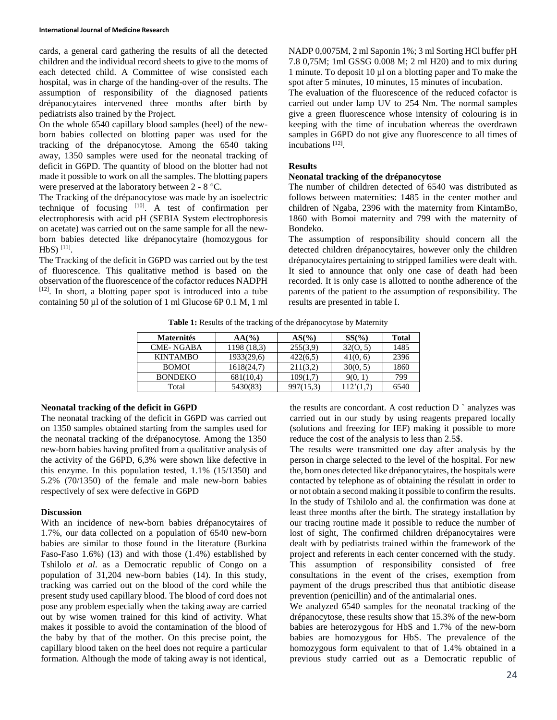cards, a general card gathering the results of all the detected children and the individual record sheets to give to the moms of each detected child. A Committee of wise consisted each hospital, was in charge of the handing-over of the results. The assumption of responsibility of the diagnosed patients drépanocytaires intervened three months after birth by pediatrists also trained by the Project.

On the whole 6540 capillary blood samples (heel) of the newborn babies collected on blotting paper was used for the tracking of the drépanocytose. Among the 6540 taking away, 1350 samples were used for the neonatal tracking of deficit in G6PD. The quantity of blood on the blotter had not made it possible to work on all the samples. The blotting papers were preserved at the laboratory between 2 - 8 °C.

The Tracking of the drépanocytose was made by an isoelectric technique of focusing  $[10]$ . A test of confirmation per electrophoresis with acid pH (SEBIA System electrophoresis on acetate) was carried out on the same sample for all the newborn babies detected like drépanocytaire (homozygous for  $HbS$ ) [11].

The Tracking of the deficit in G6PD was carried out by the test of fluorescence. This qualitative method is based on the observation of the fluorescence of the cofactor reduces NADPH [12]. In short, a blotting paper spot is introduced into a tube containing 50 µl of the solution of 1 ml Glucose 6P 0.1 M, 1 ml NADP 0,0075M, 2 ml Saponin 1%; 3 ml Sorting HCl buffer pH 7.8 0,75M; 1ml GSSG 0.008 M; 2 ml H20) and to mix during 1 minute. To deposit 10 µl on a blotting paper and To make the spot after 5 minutes, 10 minutes, 15 minutes of incubation.

The evaluation of the fluorescence of the reduced cofactor is carried out under lamp UV to 254 Nm. The normal samples give a green fluorescence whose intensity of colouring is in keeping with the time of incubation whereas the overdrawn samples in G6PD do not give any fluorescence to all times of incubations<sup>[12]</sup>.

### **Results**

#### **Neonatal tracking of the drépanocytose**

The number of children detected of 6540 was distributed as follows between maternities: 1485 in the center mother and children of Ngaba, 2396 with the maternity from KintamBo, 1860 with Bomoi maternity and 799 with the maternity of Bondeko.

The assumption of responsibility should concern all the detected children drépanocytaires, however only the children drépanocytaires pertaining to stripped families were dealt with. It sied to announce that only one case of death had been recorded. It is only case is allotted to nonthe adherence of the parents of the patient to the assumption of responsibility. The results are presented in table I.

**Table 1:** Results of the tracking of the drépanocytose by Maternity

| <b>Maternités</b> | $AA(\%)$    | $AS(\%)$  | SS(%)    | <b>Total</b> |
|-------------------|-------------|-----------|----------|--------------|
| <b>CME-NGABA</b>  | 1198 (18.3) | 255(3,9)  | 32(0, 5) | 1485         |
| <b>KINTAMBO</b>   | 1933(29,6)  | 422(6,5)  | 41(0, 6) | 2396         |
| <b>BOMOI</b>      | 1618(24,7)  | 211(3,2)  | 30(0, 5) | 1860         |
| <b>BONDEKO</b>    | 681(10,4)   | 109(1.7)  | 9(0, 1)  | 799          |
| Total             | 5430(83)    | 997(15,3) |          | 6540         |

#### **Neonatal tracking of the deficit in G6PD**

The neonatal tracking of the deficit in G6PD was carried out on 1350 samples obtained starting from the samples used for the neonatal tracking of the drépanocytose. Among the 1350 new-born babies having profited from a qualitative analysis of the activity of the G6PD, 6,3% were shown like defective in this enzyme. In this population tested, 1.1% (15/1350) and 5.2% (70/1350) of the female and male new-born babies respectively of sex were defective in G6PD

#### **Discussion**

With an incidence of new-born babies drépanocytaires of 1.7%, our data collected on a population of 6540 new-born babies are similar to those found in the literature (Burkina Faso-Faso 1.6%) (13) and with those (1.4%) established by Tshilolo *et al*. as a Democratic republic of Congo on a population of 31,204 new-born babies (14). In this study, tracking was carried out on the blood of the cord while the present study used capillary blood. The blood of cord does not pose any problem especially when the taking away are carried out by wise women trained for this kind of activity. What makes it possible to avoid the contamination of the blood of the baby by that of the mother. On this precise point, the capillary blood taken on the heel does not require a particular formation. Although the mode of taking away is not identical, the results are concordant. A cost reduction  $D^{\dagger}$  analyzes was carried out in our study by using reagents prepared locally (solutions and freezing for IEF) making it possible to more reduce the cost of the analysis to less than 2.5\$.

The results were transmitted one day after analysis by the person in charge selected to the level of the hospital. For new the, born ones detected like drépanocytaires, the hospitals were contacted by telephone as of obtaining the résulatt in order to or not obtain a second making it possible to confirm the results. In the study of Tshilolo and al. the confirmation was done at least three months after the birth. The strategy installation by our tracing routine made it possible to reduce the number of lost of sight, The confirmed children drépanocytaires were dealt with by pediatrists trained within the framework of the project and referents in each center concerned with the study. This assumption of responsibility consisted of free consultations in the event of the crises, exemption from payment of the drugs prescribed thus that antibiotic disease prevention (penicillin) and of the antimalarial ones.

We analyzed 6540 samples for the neonatal tracking of the drépanocytose, these results show that 15.3% of the new-born babies are heterozygous for HbS and 1.7% of the new-born babies are homozygous for HbS. The prevalence of the homozygous form equivalent to that of 1.4% obtained in a previous study carried out as a Democratic republic of